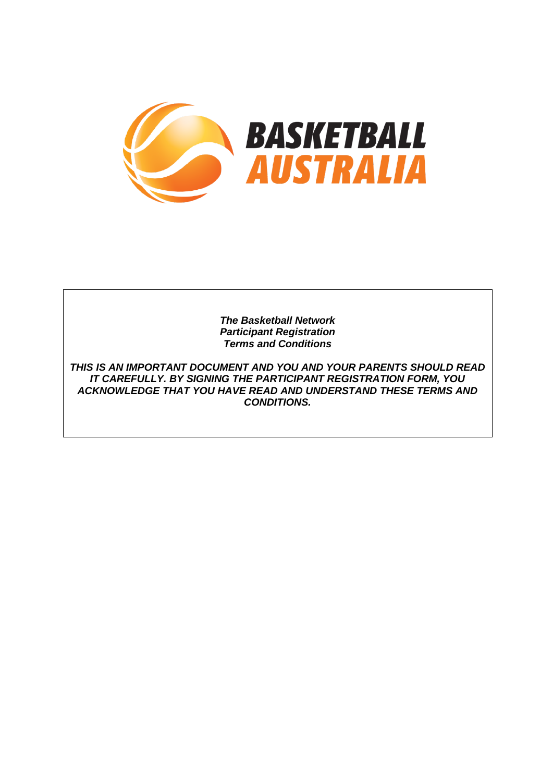

*The Basketball Network Participant Registration Terms and Conditions*

*THIS IS AN IMPORTANT DOCUMENT AND YOU AND YOUR PARENTS SHOULD READ IT CAREFULLY. BY SIGNING THE PARTICIPANT REGISTRATION FORM, YOU ACKNOWLEDGE THAT YOU HAVE READ AND UNDERSTAND THESE TERMS AND CONDITIONS.*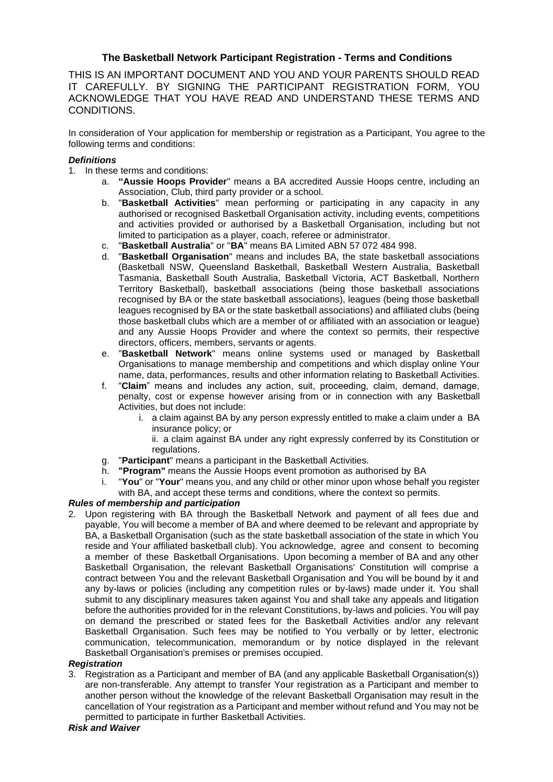# **The Basketball Network Participant Registration - Terms and Conditions**

THIS IS AN IMPORTANT DOCUMENT AND YOU AND YOUR PARENTS SHOULD READ IT CAREFULLY. BY SIGNING THE PARTICIPANT REGISTRATION FORM, YOU ACKNOWLEDGE THAT YOU HAVE READ AND UNDERSTAND THESE TERMS AND CONDITIONS.

In consideration of Your application for membership or registration as a Participant, You agree to the following terms and conditions:

### *Definitions*

- 1. In these terms and conditions:
	- a. **"Aussie Hoops Provider**" means a BA accredited Aussie Hoops centre, including an Association, Club, third party provider or a school.
	- b. "**Basketball Activities**" mean performing or participating in any capacity in any authorised or recognised Basketball Organisation activity, including events, competitions and activities provided or authorised by a Basketball Organisation, including but not limited to participation as a player, coach, referee or administrator.
	- c. "**Basketball Australia**" or "**BA**" means BA Limited ABN 57 072 484 998.
	- d. "**Basketball Organisation**" means and includes BA, the state basketball associations (Basketball NSW, Queensland Basketball, Basketball Western Australia, Basketball Tasmania, Basketball South Australia, Basketball Victoria, ACT Basketball, Northern Territory Basketball), basketball associations (being those basketball associations recognised by BA or the state basketball associations), leagues (being those basketball leagues recognised by BA or the state basketball associations) and affiliated clubs (being those basketball clubs which are a member of or affiliated with an association or league) and any Aussie Hoops Provider and where the context so permits, their respective directors, officers, members, servants or agents.
	- e. "**Basketball Network**" means online systems used or managed by Basketball Organisations to manage membership and competitions and which display online Your name, data, performances, results and other information relating to Basketball Activities.
	- f. "**Claim**" means and includes any action, suit, proceeding, claim, demand, damage, penalty, cost or expense however arising from or in connection with any Basketball Activities, but does not include:
		- i. a claim against BA by any person expressly entitled to make a claim under a BA insurance policy; or

ii. a claim against BA under any right expressly conferred by its Constitution or regulations.

- g. "**Participant**" means a participant in the Basketball Activities.
- h. **"Program"** means the Aussie Hoops event promotion as authorised by BA
- i. "**You**" or "**Your**" means you, and any child or other minor upon whose behalf you register

with BA, and accept these terms and conditions, where the context so permits.

## *Rules of membership and participation*

2. Upon registering with BA through the Basketball Network and payment of all fees due and payable, You will become a member of BA and where deemed to be relevant and appropriate by BA, a Basketball Organisation (such as the state basketball association of the state in which You reside and Your affiliated basketball club). You acknowledge, agree and consent to becoming a member of these Basketball Organisations. Upon becoming a member of BA and any other Basketball Organisation, the relevant Basketball Organisations' Constitution will comprise a contract between You and the relevant Basketball Organisation and You will be bound by it and any by-laws or policies (including any competition rules or by-laws) made under it. You shall submit to any disciplinary measures taken against You and shall take any appeals and litigation before the authorities provided for in the relevant Constitutions, by-laws and policies. You will pay on demand the prescribed or stated fees for the Basketball Activities and/or any relevant Basketball Organisation. Such fees may be notified to You verbally or by letter, electronic communication, telecommunication, memorandum or by notice displayed in the relevant Basketball Organisation's premises or premises occupied.

### *Registration*

3. Registration as a Participant and member of BA (and any applicable Basketball Organisation(s)) are non-transferable. Any attempt to transfer Your registration as a Participant and member to another person without the knowledge of the relevant Basketball Organisation may result in the cancellation of Your registration as a Participant and member without refund and You may not be permitted to participate in further Basketball Activities.

### *Risk and Waiver*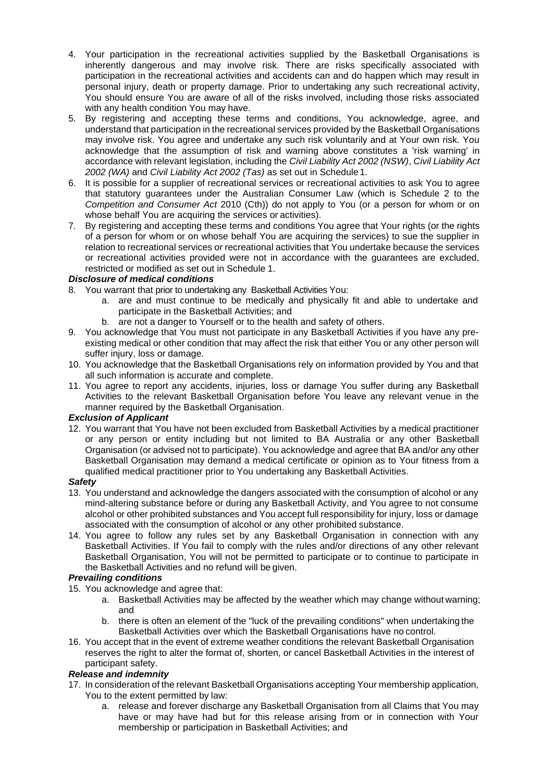- 4. Your participation in the recreational activities supplied by the Basketball Organisations is inherently dangerous and may involve risk. There are risks specifically associated with participation in the recreational activities and accidents can and do happen which may result in personal injury, death or property damage. Prior to undertaking any such recreational activity, You should ensure You are aware of all of the risks involved, including those risks associated with any health condition You may have.
- 5. By registering and accepting these terms and conditions, You acknowledge, agree, and understand that participation in the recreational services provided by the Basketball Organisations may involve risk. You agree and undertake any such risk voluntarily and at Your own risk. You acknowledge that the assumption of risk and warning above constitutes a 'risk warning' in accordance with relevant legislation, including the *Civil Liability Act 2002 (NSW)*, *Civil Liability Act 2002 (WA)* and *Civil Liability Act 2002 (Tas)* as set out in Schedule 1.
- 6. It is possible for a supplier of recreational services or recreational activities to ask You to agree that statutory guarantees under the Australian Consumer Law (which is Schedule 2 to the *Competition and Consumer Act* 2010 (Cth)) do not apply to You (or a person for whom or on whose behalf You are acquiring the services or activities).
- 7. By registering and accepting these terms and conditions You agree that Your rights (or the rights of a person for whom or on whose behalf You are acquiring the services) to sue the supplier in relation to recreational services or recreational activities that You undertake because the services or recreational activities provided were not in accordance with the guarantees are excluded, restricted or modified as set out in Schedule 1.

## *Disclosure of medical conditions*

- 8. You warrant that prior to undertaking any Basketball Activities You:
	- a. are and must continue to be medically and physically fit and able to undertake and participate in the Basketball Activities; and
	- b. are not a danger to Yourself or to the health and safety of others.
- 9. You acknowledge that You must not participate in any Basketball Activities if you have any preexisting medical or other condition that may affect the risk that either You or any other person will suffer injury, loss or damage.
- 10. You acknowledge that the Basketball Organisations rely on information provided by You and that all such information is accurate and complete.
- 11. You agree to report any accidents, injuries, loss or damage You suffer during any Basketball Activities to the relevant Basketball Organisation before You leave any relevant venue in the manner required by the Basketball Organisation.

## *Exclusion of Applicant*

12. You warrant that You have not been excluded from Basketball Activities by a medical practitioner or any person or entity including but not limited to BA Australia or any other Basketball Organisation (or advised not to participate). You acknowledge and agree that BA and/or any other Basketball Organisation may demand a medical certificate or opinion as to Your fitness from a qualified medical practitioner prior to You undertaking any Basketball Activities.

## *Safety*

- 13. You understand and acknowledge the dangers associated with the consumption of alcohol or any mind-altering substance before or during any Basketball Activity, and You agree to not consume alcohol or other prohibited substances and You accept full responsibility for injury, loss or damage associated with the consumption of alcohol or any other prohibited substance.
- 14. You agree to follow any rules set by any Basketball Organisation in connection with any Basketball Activities. If You fail to comply with the rules and/or directions of any other relevant Basketball Organisation, You will not be permitted to participate or to continue to participate in the Basketball Activities and no refund will be given.

## *Prevailing conditions*

- 15. You acknowledge and agree that:
	- a. Basketball Activities may be affected by the weather which may change without warning; and
	- b. there is often an element of the "luck of the prevailing conditions" when undertaking the Basketball Activities over which the Basketball Organisations have no control.
- 16. You accept that in the event of extreme weather conditions the relevant Basketball Organisation reserves the right to alter the format of, shorten, or cancel Basketball Activities in the interest of participant safety.

## *Release and indemnity*

- 17. In consideration of the relevant Basketball Organisations accepting Your membership application, You to the extent permitted by law:
	- a. release and forever discharge any Basketball Organisation from all Claims that You may have or may have had but for this release arising from or in connection with Your membership or participation in Basketball Activities; and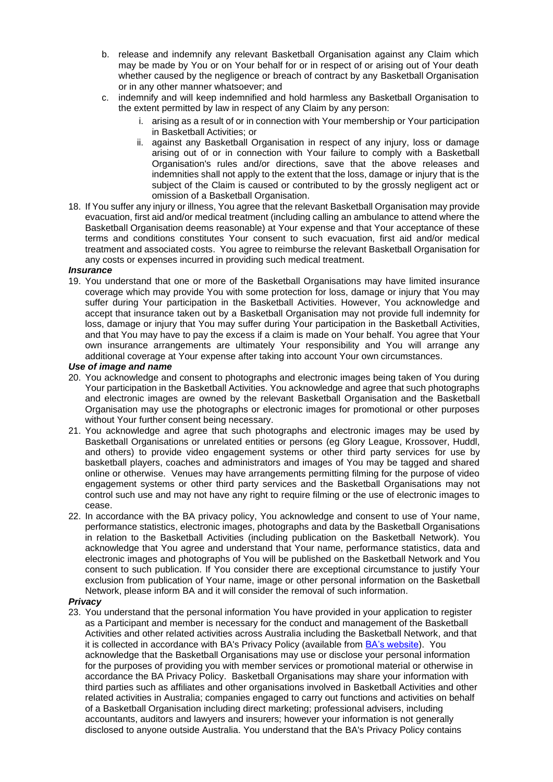- b. release and indemnify any relevant Basketball Organisation against any Claim which may be made by You or on Your behalf for or in respect of or arising out of Your death whether caused by the negligence or breach of contract by any Basketball Organisation or in any other manner whatsoever; and
- c. indemnify and will keep indemnified and hold harmless any Basketball Organisation to the extent permitted by law in respect of any Claim by any person:
	- i. arising as a result of or in connection with Your membership or Your participation in Basketball Activities; or
	- ii. against any Basketball Organisation in respect of any injury, loss or damage arising out of or in connection with Your failure to comply with a Basketball Organisation's rules and/or directions, save that the above releases and indemnities shall not apply to the extent that the loss, damage or injury that is the subject of the Claim is caused or contributed to by the grossly negligent act or omission of a Basketball Organisation.
- 18. If You suffer any injury or illness, You agree that the relevant Basketball Organisation may provide evacuation, first aid and/or medical treatment (including calling an ambulance to attend where the Basketball Organisation deems reasonable) at Your expense and that Your acceptance of these terms and conditions constitutes Your consent to such evacuation, first aid and/or medical treatment and associated costs. You agree to reimburse the relevant Basketball Organisation for any costs or expenses incurred in providing such medical treatment.

### *Insurance*

19. You understand that one or more of the Basketball Organisations may have limited insurance coverage which may provide You with some protection for loss, damage or injury that You may suffer during Your participation in the Basketball Activities. However, You acknowledge and accept that insurance taken out by a Basketball Organisation may not provide full indemnity for loss, damage or injury that You may suffer during Your participation in the Basketball Activities, and that You may have to pay the excess if a claim is made on Your behalf. You agree that Your own insurance arrangements are ultimately Your responsibility and You will arrange any additional coverage at Your expense after taking into account Your own circumstances.

### *Use of image and name*

- 20. You acknowledge and consent to photographs and electronic images being taken of You during Your participation in the Basketball Activities. You acknowledge and agree that such photographs and electronic images are owned by the relevant Basketball Organisation and the Basketball Organisation may use the photographs or electronic images for promotional or other purposes without Your further consent being necessary.
- 21. You acknowledge and agree that such photographs and electronic images may be used by Basketball Organisations or unrelated entities or persons (eg Glory League, Krossover, Huddl, and others) to provide video engagement systems or other third party services for use by basketball players, coaches and administrators and images of You may be tagged and shared online or otherwise. Venues may have arrangements permitting filming for the purpose of video engagement systems or other third party services and the Basketball Organisations may not control such use and may not have any right to require filming or the use of electronic images to cease.
- 22. In accordance with the BA privacy policy, You acknowledge and consent to use of Your name, performance statistics, electronic images, photographs and data by the Basketball Organisations in relation to the Basketball Activities (including publication on the Basketball Network). You acknowledge that You agree and understand that Your name, performance statistics, data and electronic images and photographs of You will be published on the Basketball Network and You consent to such publication. If You consider there are exceptional circumstance to justify Your exclusion from publication of Your name, image or other personal information on the Basketball Network, please inform BA and it will consider the removal of such information.

### *Privacy*

23. You understand that the personal information You have provided in your application to register as a Participant and member is necessary for the conduct and management of the Basketball Activities and other related activities across Australia including the Basketball Network, and that it is collected in accordance with BA's Privacy Policy (available from **BA's website**). You acknowledge that the Basketball Organisations may use or disclose your personal information for the purposes of providing you with member services or promotional material or otherwise in accordance the BA Privacy Policy. Basketball Organisations may share your information with third parties such as affiliates and other organisations involved in Basketball Activities and other related activities in Australia; companies engaged to carry out functions and activities on behalf of a Basketball Organisation including direct marketing; professional advisers, including accountants, auditors and lawyers and insurers; however your information is not generally disclosed to anyone outside Australia. You understand that the BA's Privacy Policy contains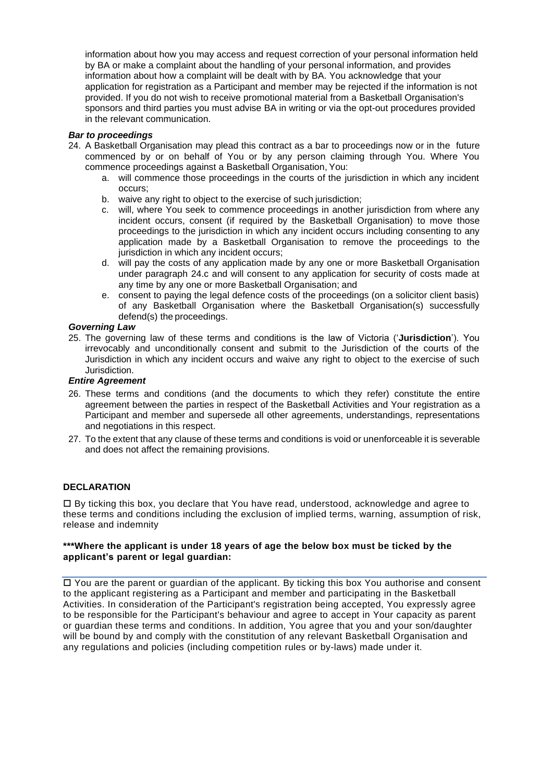information about how you may access and request correction of your personal information held by BA or make a complaint about the handling of your personal information, and provides information about how a complaint will be dealt with by BA. You acknowledge that your application for registration as a Participant and member may be rejected if the information is not provided. If you do not wish to receive promotional material from a Basketball Organisation's sponsors and third parties you must advise BA in writing or via the opt-out procedures provided in the relevant communication.

### *Bar to proceedings*

- <span id="page-4-0"></span>24. A Basketball Organisation may plead this contract as a bar to proceedings now or in the future commenced by or on behalf of You or by any person claiming through You. Where You commence proceedings against a Basketball Organisation, You:
	- a. will commence those proceedings in the courts of the jurisdiction in which any incident occurs;
	- b. waive any right to object to the exercise of such jurisdiction;
	- c. will, where You seek to commence proceedings in another jurisdiction from where any incident occurs, consent (if required by the Basketball Organisation) to move those proceedings to the jurisdiction in which any incident occurs including consenting to any application made by a Basketball Organisation to remove the proceedings to the jurisdiction in which any incident occurs;
	- d. will pay the costs of any application made by any one or more Basketball Organisation under paragraph [24.c](#page-4-0) and will consent to any application for security of costs made at any time by any one or more Basketball Organisation; and
	- e. consent to paying the legal defence costs of the proceedings (on a solicitor client basis) of any Basketball Organisation where the Basketball Organisation(s) successfully defend(s) the proceedings.

### *Governing Law*

25. The governing law of these terms and conditions is the law of Victoria ('**Jurisdiction**'). You irrevocably and unconditionally consent and submit to the Jurisdiction of the courts of the Jurisdiction in which any incident occurs and waive any right to object to the exercise of such Jurisdiction.

### *Entire Agreement*

- 26. These terms and conditions (and the documents to which they refer) constitute the entire agreement between the parties in respect of the Basketball Activities and Your registration as a Participant and member and supersede all other agreements, understandings, representations and negotiations in this respect.
- 27. To the extent that any clause of these terms and conditions is void or unenforceable it is severable and does not affect the remaining provisions.

### **DECLARATION**

 By ticking this box, you declare that You have read, understood, acknowledge and agree to these terms and conditions including the exclusion of implied terms, warning, assumption of risk, release and indemnity

### **\*\*\*Where the applicant is under 18 years of age the below box must be ticked by the applicant's parent or legal guardian:**

 You are the parent or guardian of the applicant. By ticking this box You authorise and consent to the applicant registering as a Participant and member and participating in the Basketball Activities. In consideration of the Participant's registration being accepted, You expressly agree to be responsible for the Participant's behaviour and agree to accept in Your capacity as parent or guardian these terms and conditions. In addition, You agree that you and your son/daughter will be bound by and comply with the constitution of any relevant Basketball Organisation and any regulations and policies (including competition rules or by-laws) made under it.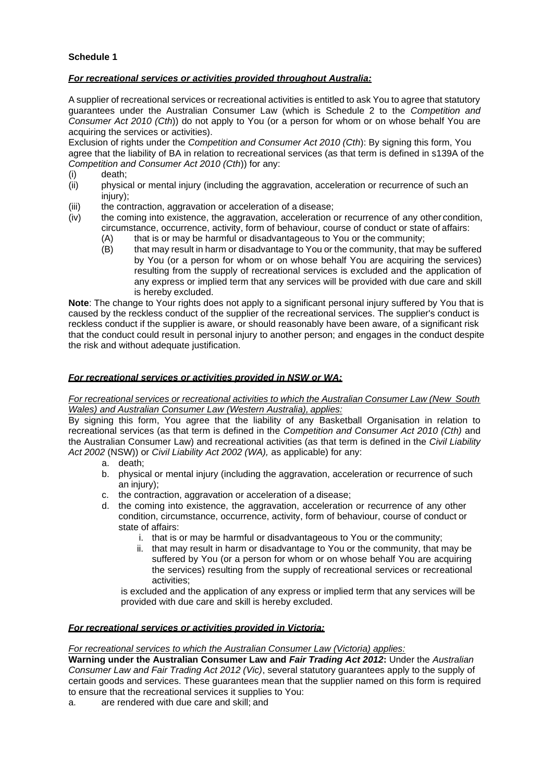## **Schedule 1**

## *For recreational services or activities provided throughout Australia:*

A supplier of recreational services or recreational activities is entitled to ask You to agree that statutory guarantees under the Australian Consumer Law (which is Schedule 2 to the *Competition and Consumer Act 2010 (Cth*)) do not apply to You (or a person for whom or on whose behalf You are acquiring the services or activities).

Exclusion of rights under the *Competition and Consumer Act 2010 (Cth*): By signing this form, You agree that the liability of BA in relation to recreational services (as that term is defined in s139A of the *Competition and Consumer Act 2010 (Cth*)) for any:

- (i) death;
- (ii) physical or mental injury (including the aggravation, acceleration or recurrence of such an injury);
- (iii) the contraction, aggravation or acceleration of a disease;
- (iv) the coming into existence, the aggravation, acceleration or recurrence of any other condition, circumstance, occurrence, activity, form of behaviour, course of conduct or state of affairs:
	- (A) that is or may be harmful or disadvantageous to You or the community;
	- (B) that may result in harm or disadvantage to You or the community, that may be suffered by You (or a person for whom or on whose behalf You are acquiring the services) resulting from the supply of recreational services is excluded and the application of any express or implied term that any services will be provided with due care and skill is hereby excluded.

**Note**: The change to Your rights does not apply to a significant [personal](http://www.austlii.edu.au/au/legis/cth/consol_act/caca2010265/s130.html#personal_injury) [injury](http://www.austlii.edu.au/au/legis/cth/consol_act/caca2010265/s130.html#personal_injury) suffered by You that is caused by the [reckless conduct](http://www.austlii.edu.au/au/legis/cth/consol_act/caca2010265/s130.html#reckless_conduct) of the supplier of the [recreational services.](http://www.austlii.edu.au/au/legis/cth/consol_act/caca2010265/s130.html#recreational_services) The supplier's conduct is [reckless](http://www.austlii.edu.au/au/legis/cth/consol_act/caca2010265/s130.html#reckless_conduct) [conduct](http://www.austlii.edu.au/au/legis/cth/consol_act/caca2010265/s130.html#reckless_conduct) if the supplier is aware, or should reasonably have been aware, of a significant risk that the conduct could result in [personal injury](http://www.austlii.edu.au/au/legis/cth/consol_act/caca2010265/s130.html#personal_injury) to another [person;](http://www.austlii.edu.au/au/legis/cth/consol_act/caca2010265/s152ac.html#person) and engages in the conduct despite the risk and without adequate justification.

## *For recreational services or activities provided in NSW or WA:*

### *For recreational services or recreational activities to which the Australian Consumer Law (New South Wales) and Australian Consumer Law (Western Australia), applies:*

By signing this form, You agree that the liability of any Basketball Organisation in relation to recreational services (as that term is defined in the *Competition and Consumer Act 2010 (Cth)* and the Australian Consumer Law) and recreational activities (as that term is defined in the *Civil Liability Act 2002* (NSW)) or *Civil Liability Act 2002 (WA),* as applicable) for any:

- a. death;
- b. physical or mental injury (including the aggravation, acceleration or recurrence of such an injury):
- c. the contraction, aggravation or acceleration of a disease;
- d. the coming into existence, the aggravation, acceleration or recurrence of any other condition, circumstance, occurrence, activity, form of behaviour, course of conduct or state of affairs:
	- i. that is or may be harmful or disadvantageous to You or the community;
	- ii. that may result in harm or disadvantage to You or the community, that may be suffered by You (or a person for whom or on whose behalf You are acquiring the services) resulting from the supply of recreational services or recreational activities;

is excluded and the application of any express or implied term that any services will be provided with due care and skill is hereby excluded.

## *For recreational services or activities provided in Victoria:*

## *For recreational services to which the Australian Consumer Law (Victoria) applies:*

**Warning under the Australian Consumer Law and** *Fair Trading Act 2012***:** Under the *Australian Consumer Law and Fair Trading Act 2012 (Vic)*, several statutory guarantees apply to the supply of certain goods and services. These guarantees mean that the supplier named on this form is required to ensure that the recreational services it supplies to You:

a. are rendered with due care and skill; and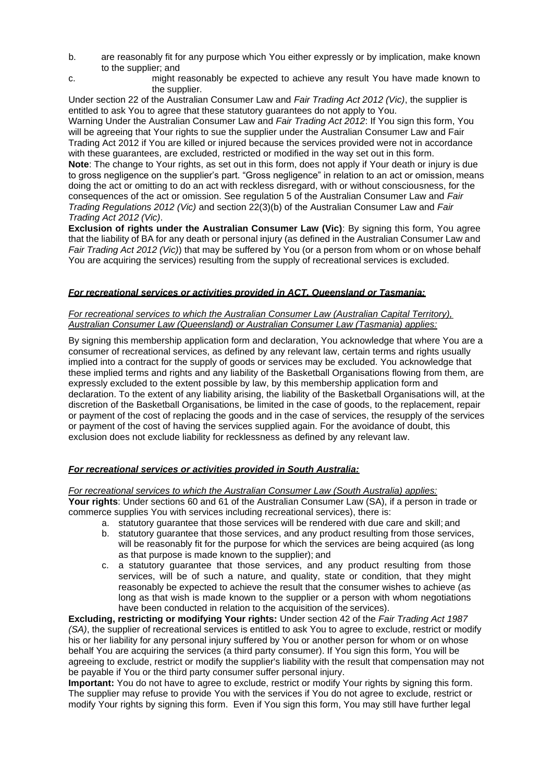- b. are reasonably fit for any purpose which You either expressly or by implication, make known to the supplier; and
- c. might reasonably be expected to achieve any result You have made known to the supplier.

Under section 22 of the Australian Consumer Law and *Fair Trading Act 2012 (Vic)*, the supplier is entitled to ask You to agree that these statutory guarantees do not apply to You.

Warning Under the Australian Consumer Law and *Fair Trading Act 2012*: If You sign this form, You will be agreeing that Your rights to sue the supplier under the Australian Consumer Law and Fair Trading Act 2012 if You are killed or injured because the services provided were not in accordance with these guarantees, are excluded, restricted or modified in the way set out in this form.

**Note**: The change to Your rights, as set out in this form, does not apply if Your death or injury is due to gross negligence on the supplier's part. "Gross negligence" in relation to an act or omission, means doing the act or omitting to do an act with reckless disregard, with or without consciousness, for the consequences of the act or omission. See regulation 5 of the Australian Consumer Law and *Fair Trading Regulations 2012 (Vic)* and section 22(3)(b) of the Australian Consumer Law and *Fair Trading Act 2012 (Vic)*.

**Exclusion of rights under the Australian Consumer Law (Vic)**: By signing this form, You agree that the liability of BA for any death or personal injury (as defined in the Australian Consumer Law and *Fair Trading Act 2012 (Vic)*) that may be suffered by You (or a person from whom or on whose behalf You are acquiring the services) resulting from the supply of recreational services is excluded.

### *For recreational services or activities provided in ACT, Queensland or Tasmania:*

### *For recreational services to which the Australian Consumer Law (Australian Capital Territory), Australian Consumer Law (Queensland) or Australian Consumer Law (Tasmania) applies:*

By signing this membership application form and declaration, You acknowledge that where You are a consumer of recreational services, as defined by any relevant law, certain terms and rights usually implied into a contract for the supply of goods or services may be excluded. You acknowledge that these implied terms and rights and any liability of the Basketball Organisations flowing from them, are expressly excluded to the extent possible by law, by this membership application form and declaration. To the extent of any liability arising, the liability of the Basketball Organisations will, at the discretion of the Basketball Organisations, be limited in the case of goods, to the replacement, repair or payment of the cost of replacing the goods and in the case of services, the resupply of the services or payment of the cost of having the services supplied again. For the avoidance of doubt, this exclusion does not exclude liability for recklessness as defined by any relevant law.

### *For recreational services or activities provided in South Australia:*

## *For recreational services to which the Australian Consumer Law (South Australia) applies:*

**Your rights**: Under sections 60 and 61 of the Australian Consumer Law (SA), if a person in trade or commerce supplies You with services including recreational services), there is:

- a. statutory guarantee that those services will be rendered with due care and skill; and
- b. statutory guarantee that those services, and any product resulting from those services, will be reasonably fit for the purpose for which the services are being acquired (as long as that purpose is made known to the supplier); and
- c. a statutory guarantee that those services, and any product resulting from those services, will be of such a nature, and quality, state or condition, that they might reasonably be expected to achieve the result that the consumer wishes to achieve (as long as that wish is made known to the supplier or a person with whom negotiations have been conducted in relation to the acquisition of the services).

**Excluding, restricting or modifying Your rights:** Under section 42 of the *Fair Trading Act 1987 (SA)*, the supplier of recreational services is entitled to ask You to agree to exclude, restrict or modify his or her liability for any personal injury suffered by You or another person for whom or on whose behalf You are acquiring the services (a third party consumer). If You sign this form, You will be agreeing to exclude, restrict or modify the supplier's liability with the result that compensation may not be payable if You or the third party consumer suffer personal injury.

**Important:** You do not have to agree to exclude, restrict or modify Your rights by signing this form. The supplier may refuse to provide You with the services if You do not agree to exclude, restrict or modify Your rights by signing this form. Even if You sign this form, You may still have further legal